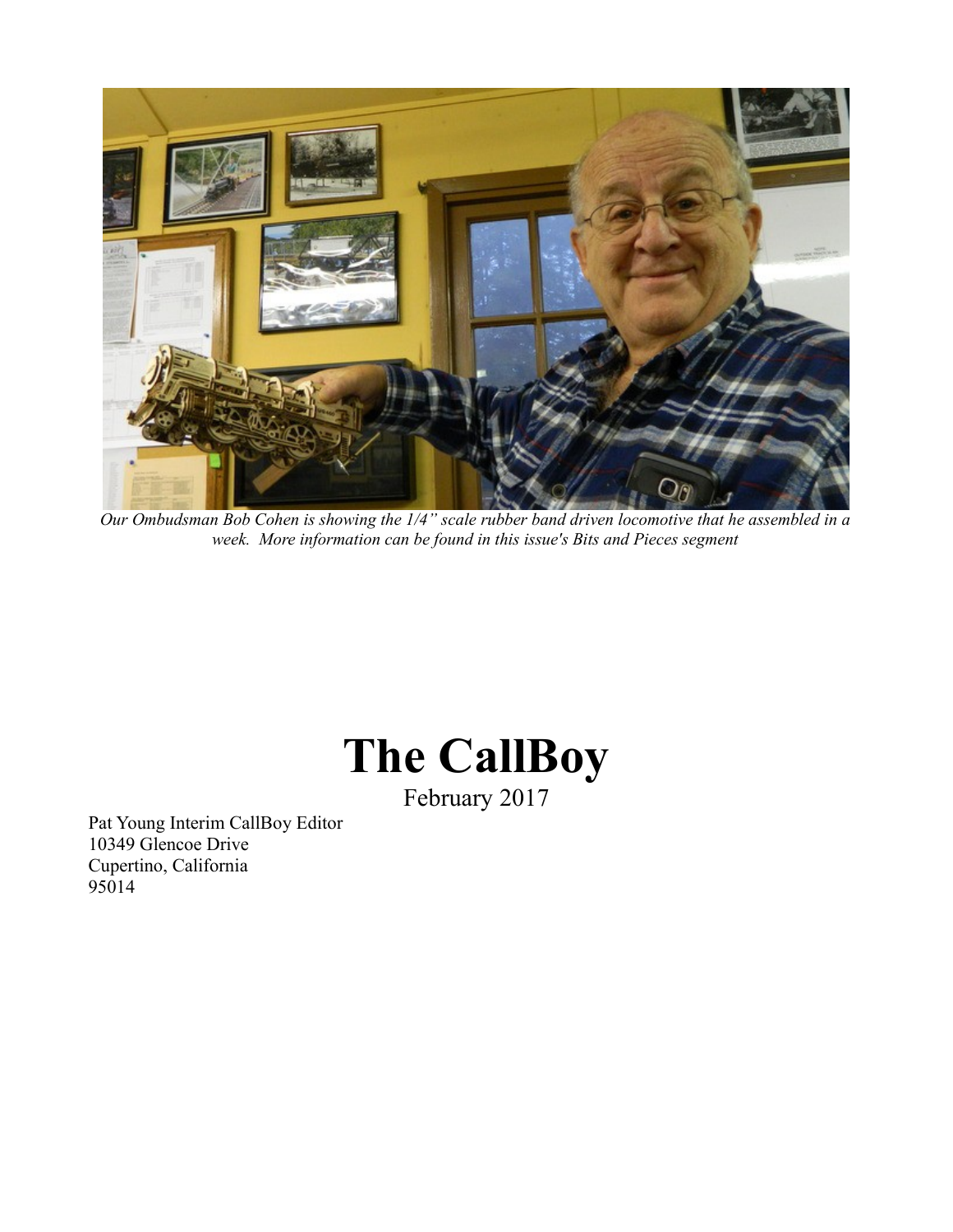

*Our Ombudsman Bob Cohen is showing the 1/4" scale rubber band driven locomotive that he assembled in a week. More information can be found in this issue's Bits and Pieces segment*

# **The CallBoy**

February 2017

Pat Young Interim CallBoy Editor 10349 Glencoe Drive Cupertino, California 95014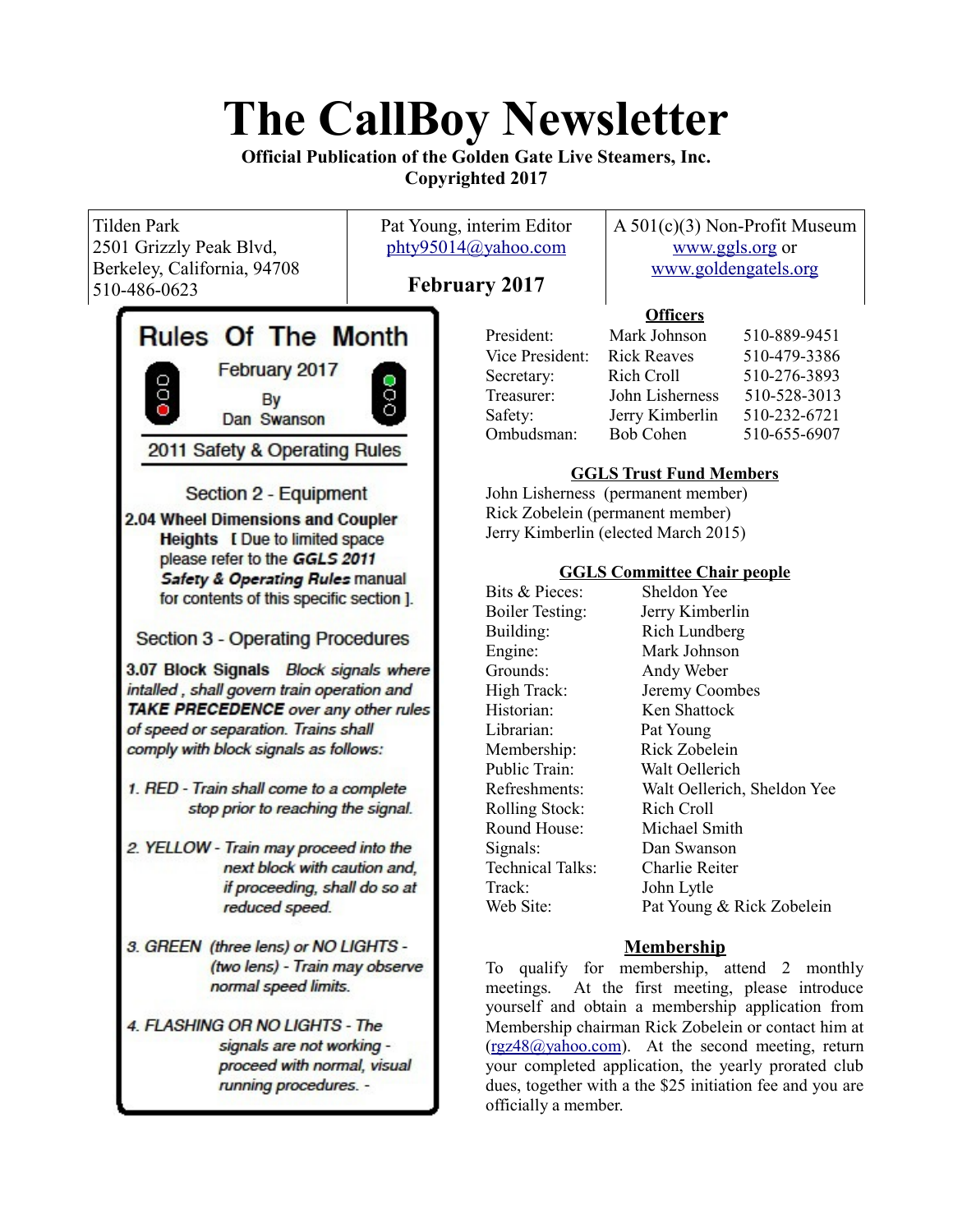# **The CallBoy Newsletter**

**Official Publication of the Golden Gate Live Steamers, Inc. Copyrighted 2017**

| <b>Tilden Park</b><br>2501 Grizzly Peak Blvd,<br>Berkeley, California, 94708<br>510-486-0623                                                                                                                          | Pat Young, interim Editor<br>phty95014@yahoo.com<br><b>February 2017</b>                                                                                                                                                                                                                                                                                                                                                                                                                                                                                                                                                                                                                             |                                                                                                                                                                                                                                                                                                                                                                                                                                      | $A 501(c)(3)$ Non-Profit Museum<br>www.ggls.org or<br>www.goldengatels.org                                                                                                                                                                                                                                                                                                                                                                                                                                                                                                      |                                                                                                                                                          |
|-----------------------------------------------------------------------------------------------------------------------------------------------------------------------------------------------------------------------|------------------------------------------------------------------------------------------------------------------------------------------------------------------------------------------------------------------------------------------------------------------------------------------------------------------------------------------------------------------------------------------------------------------------------------------------------------------------------------------------------------------------------------------------------------------------------------------------------------------------------------------------------------------------------------------------------|--------------------------------------------------------------------------------------------------------------------------------------------------------------------------------------------------------------------------------------------------------------------------------------------------------------------------------------------------------------------------------------------------------------------------------------|---------------------------------------------------------------------------------------------------------------------------------------------------------------------------------------------------------------------------------------------------------------------------------------------------------------------------------------------------------------------------------------------------------------------------------------------------------------------------------------------------------------------------------------------------------------------------------|----------------------------------------------------------------------------------------------------------------------------------------------------------|
| February 2017<br>000<br>By<br>Dan Swanson<br>next block with caution and,<br>if proceeding, shall do so at<br>reduced speed.                                                                                          | <b>Rules Of The Month</b><br>$\frac{1}{2}$<br>2011 Safety & Operating Rules<br>Section 2 - Equipment<br>2.04 Wheel Dimensions and Coupler<br><b>Heights</b> [ Due to limited space<br>please refer to the GGLS 2011<br><b>Safety &amp; Operating Rules manual</b><br>for contents of this specific section ].<br><b>Section 3 - Operating Procedures</b><br>3.07 Block Signals Block signals where<br>intalled, shall govern train operation and<br>TAKE PRECEDENCE over any other rules<br>of speed or separation. Trains shall<br>comply with block signals as follows:<br>1. RED - Train shall come to a complete<br>stop prior to reaching the signal.<br>2. YELLOW - Train may proceed into the |                                                                                                                                                                                                                                                                                                                                                                                                                                      | <b>Officers</b><br>Mark Johnson<br><b>Rick Reaves</b><br>Rich Croll<br>John Lisherness<br>Jerry Kimberlin<br><b>Bob Cohen</b><br><b>GGLS Trust Fund Members</b><br>John Lisherness (permanent member)<br>Rick Zobelein (permanent member)<br>Jerry Kimberlin (elected March 2015)<br><b>GGLS Committee Chair people</b><br>Sheldon Yee<br>Jerry Kimberlin<br>Rich Lundberg<br>Mark Johnson<br>Andy Weber<br>Jeremy Coombes<br>Ken Shattock<br>Pat Young<br>Rick Zobelein<br>Walt Oellerich<br>Rich Croll<br>Michael Smith<br>Dan Swanson<br><b>Charlie Reiter</b><br>John Lytle | 510-889-9451<br>510-479-3386<br>510-276-3893<br>510-528-3013<br>510-232-6721<br>510-655-6907<br>Walt Oellerich, Sheldon Yee<br>Pat Young & Rick Zobelein |
| 3. GREEN (three lens) or NO LIGHTS -<br>(two lens) - Train may observe<br>normal speed limits.<br>4. FLASHING OR NO LIGHTS - The<br>signals are not working -<br>proceed with normal, visual<br>running procedures. - |                                                                                                                                                                                                                                                                                                                                                                                                                                                                                                                                                                                                                                                                                                      | <b>Membership</b><br>To qualify for membership, attend 2 monthly<br>At the first meeting, please introduce<br>meetings.<br>yourself and obtain a membership application from<br>Membership chairman Rick Zobelein or contact him at<br>(rgz48@yahoo.com). At the second meeting, return<br>your completed application, the yearly prorated club<br>dues, together with a the \$25 initiation fee and you are<br>officially a member. |                                                                                                                                                                                                                                                                                                                                                                                                                                                                                                                                                                                 |                                                                                                                                                          |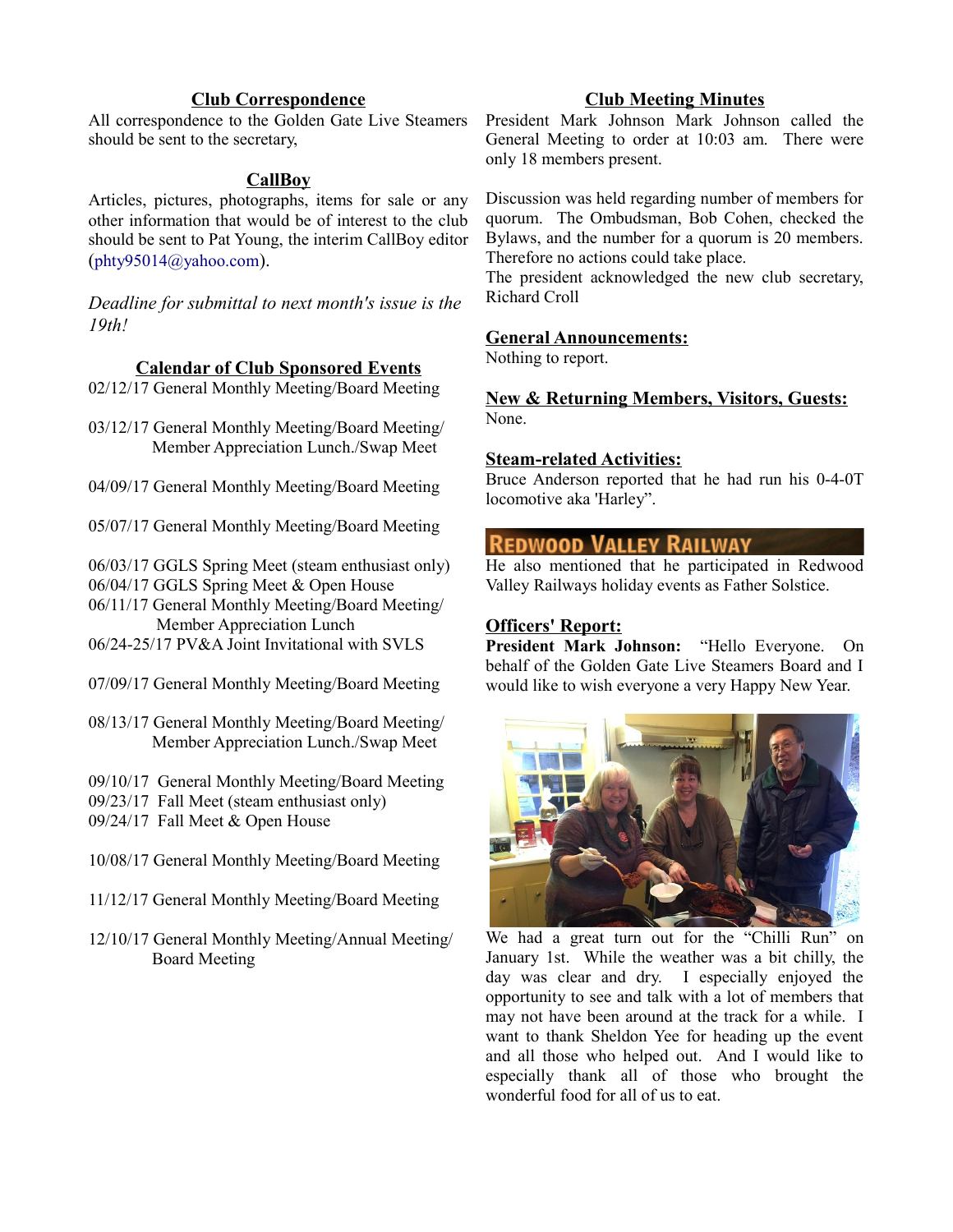# **Club Correspondence**

All correspondence to the Golden Gate Live Steamers should be sent to the secretary,

### **CallBoy**

Articles, pictures, photographs, items for sale or any other information that would be of interest to the club should be sent to Pat Young, the interim CallBoy editor ([phty95014@yahoo.com](mailto:phty95014@yahoo.com)).

*Deadline for submittal to next month's issue is the 19th!*

#### **Calendar of Club Sponsored Events**

02/12/17 General Monthly Meeting/Board Meeting

03/12/17 General Monthly Meeting/Board Meeting/ Member Appreciation Lunch./Swap Meet

04/09/17 General Monthly Meeting/Board Meeting

05/07/17 General Monthly Meeting/Board Meeting

06/03/17 GGLS Spring Meet (steam enthusiast only) 06/04/17 GGLS Spring Meet & Open House

06/11/17 General Monthly Meeting/Board Meeting/ Member Appreciation Lunch

06/24-25/17 PV&A Joint Invitational with SVLS

- 07/09/17 General Monthly Meeting/Board Meeting
- 08/13/17 General Monthly Meeting/Board Meeting/ Member Appreciation Lunch./Swap Meet
- 09/10/17 General Monthly Meeting/Board Meeting
- 09/23/17 Fall Meet (steam enthusiast only)
- 09/24/17 Fall Meet & Open House
- 10/08/17 General Monthly Meeting/Board Meeting
- 11/12/17 General Monthly Meeting/Board Meeting
- 12/10/17 General Monthly Meeting/Annual Meeting/ Board Meeting

# **Club Meeting Minutes**

President Mark Johnson Mark Johnson called the General Meeting to order at 10:03 am. There were only 18 members present.

Discussion was held regarding number of members for quorum. The Ombudsman, Bob Cohen, checked the Bylaws, and the number for a quorum is 20 members. Therefore no actions could take place.

The president acknowledged the new club secretary, Richard Croll

#### **General Announcements:**

Nothing to report.

**New & Returning Members, Visitors, Guests:** None.

#### **Steam-related Activities:**

Bruce Anderson reported that he had run his 0-4-0T locomotive aka 'Harley".

# **REDWOOD VALLEY RAILWAY**

He also mentioned that he participated in Redwood Valley Railways holiday events as Father Solstice.

## **Officers' Report:**

**President Mark Johnson:** "Hello Everyone. On behalf of the Golden Gate Live Steamers Board and I would like to wish everyone a very Happy New Year.



We had a great turn out for the "Chilli Run" on January 1st. While the weather was a bit chilly, the day was clear and dry. I especially enjoyed the opportunity to see and talk with a lot of members that may not have been around at the track for a while. I want to thank Sheldon Yee for heading up the event and all those who helped out. And I would like to especially thank all of those who brought the wonderful food for all of us to eat.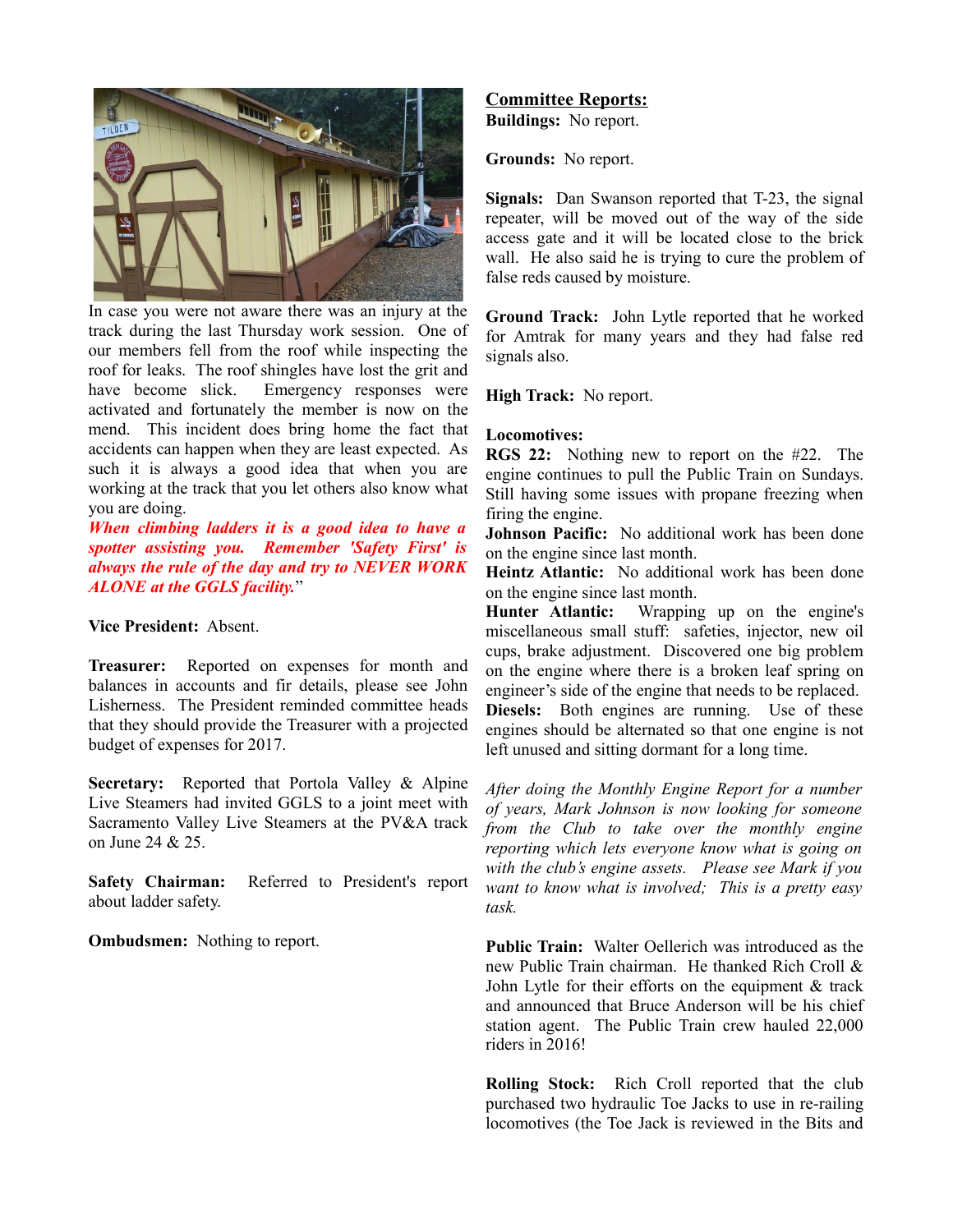

In case you were not aware there was an injury at the track during the last Thursday work session. One of our members fell from the roof while inspecting the roof for leaks. The roof shingles have lost the grit and have become slick. Emergency responses were activated and fortunately the member is now on the mend. This incident does bring home the fact that accidents can happen when they are least expected. As such it is always a good idea that when you are working at the track that you let others also know what you are doing.

*When climbing ladders it is a good idea to have a spotter assisting you. Remember 'Safety First' is always the rule of the day and try to NEVER WORK ALONE at the GGLS facility.*"

#### **Vice President:** Absent.

**Treasurer:** Reported on expenses for month and balances in accounts and fir details, please see John Lisherness. The President reminded committee heads that they should provide the Treasurer with a projected budget of expenses for 2017.

**Secretary:** Reported that Portola Valley & Alpine Live Steamers had invited GGLS to a joint meet with Sacramento Valley Live Steamers at the PV&A track on June 24 & 25.

**Safety Chairman:** Referred to President's report about ladder safety.

**Ombudsmen:** Nothing to report.

# **Committee Reports:**

**Buildings:** No report.

**Grounds:** No report.

**Signals:** Dan Swanson reported that T-23, the signal repeater, will be moved out of the way of the side access gate and it will be located close to the brick wall. He also said he is trying to cure the problem of false reds caused by moisture.

**Ground Track:** John Lytle reported that he worked for Amtrak for many years and they had false red signals also.

**High Track:** No report.

#### **Locomotives:**

**RGS 22:** Nothing new to report on the #22. The engine continues to pull the Public Train on Sundays. Still having some issues with propane freezing when firing the engine.

**Johnson Pacific:** No additional work has been done on the engine since last month.

**Heintz Atlantic:** No additional work has been done on the engine since last month.

**Hunter Atlantic:** Wrapping up on the engine's miscellaneous small stuff: safeties, injector, new oil cups, brake adjustment. Discovered one big problem on the engine where there is a broken leaf spring on engineer's side of the engine that needs to be replaced. **Diesels:** Both engines are running. Use of these engines should be alternated so that one engine is not left unused and sitting dormant for a long time.

*After doing the Monthly Engine Report for a number of years, Mark Johnson is now looking for someone from the Club to take over the monthly engine reporting which lets everyone know what is going on with the club's engine assets. Please see Mark if you want to know what is involved; This is a pretty easy task.*

**Public Train:** Walter Oellerich was introduced as the new Public Train chairman. He thanked Rich Croll & John Lytle for their efforts on the equipment & track and announced that Bruce Anderson will be his chief station agent. The Public Train crew hauled 22,000 riders in 2016!

**Rolling Stock:** Rich Croll reported that the club purchased two hydraulic Toe Jacks to use in re-railing locomotives (the Toe Jack is reviewed in the Bits and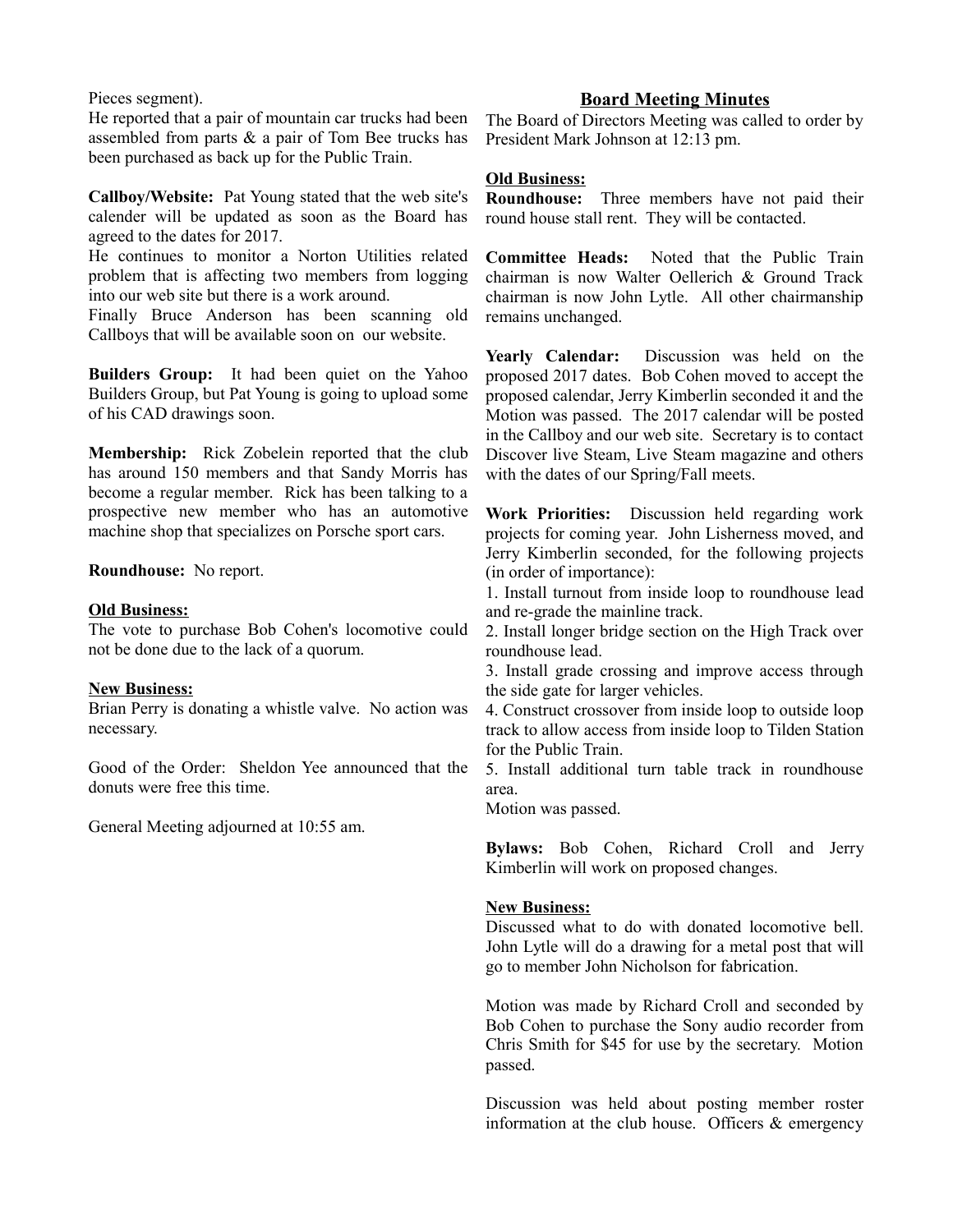Pieces segment).

He reported that a pair of mountain car trucks had been assembled from parts & a pair of Tom Bee trucks has been purchased as back up for the Public Train.

**Callboy/Website:** Pat Young stated that the web site's calender will be updated as soon as the Board has agreed to the dates for 2017.

He continues to monitor a Norton Utilities related problem that is affecting two members from logging into our web site but there is a work around.

Finally Bruce Anderson has been scanning old Callboys that will be available soon on our website.

**Builders Group:** It had been quiet on the Yahoo Builders Group, but Pat Young is going to upload some of his CAD drawings soon.

**Membership:** Rick Zobelein reported that the club has around 150 members and that Sandy Morris has become a regular member. Rick has been talking to a prospective new member who has an automotive machine shop that specializes on Porsche sport cars.

**Roundhouse:** No report.

#### **Old Business:**

The vote to purchase Bob Cohen's locomotive could not be done due to the lack of a quorum.

#### **New Business:**

Brian Perry is donating a whistle valve. No action was necessary.

Good of the Order: Sheldon Yee announced that the donuts were free this time.

General Meeting adjourned at 10:55 am.

# **Board Meeting Minutes**

The Board of Directors Meeting was called to order by President Mark Johnson at 12:13 pm.

#### **Old Business:**

**Roundhouse:** Three members have not paid their round house stall rent. They will be contacted.

**Committee Heads:** Noted that the Public Train chairman is now Walter Oellerich & Ground Track chairman is now John Lytle. All other chairmanship remains unchanged.

**Yearly Calendar:** Discussion was held on the proposed 2017 dates. Bob Cohen moved to accept the proposed calendar, Jerry Kimberlin seconded it and the Motion was passed. The 2017 calendar will be posted in the Callboy and our web site. Secretary is to contact Discover live Steam, Live Steam magazine and others with the dates of our Spring/Fall meets.

**Work Priorities:** Discussion held regarding work projects for coming year. John Lisherness moved, and Jerry Kimberlin seconded, for the following projects (in order of importance):

1. Install turnout from inside loop to roundhouse lead and re-grade the mainline track.

2. Install longer bridge section on the High Track over roundhouse lead.

3. Install grade crossing and improve access through the side gate for larger vehicles.

4. Construct crossover from inside loop to outside loop track to allow access from inside loop to Tilden Station for the Public Train.

5. Install additional turn table track in roundhouse area.

Motion was passed.

**Bylaws:** Bob Cohen, Richard Croll and Jerry Kimberlin will work on proposed changes.

#### **New Business:**

Discussed what to do with donated locomotive bell. John Lytle will do a drawing for a metal post that will go to member John Nicholson for fabrication.

Motion was made by Richard Croll and seconded by Bob Cohen to purchase the Sony audio recorder from Chris Smith for \$45 for use by the secretary. Motion passed.

Discussion was held about posting member roster information at the club house. Officers & emergency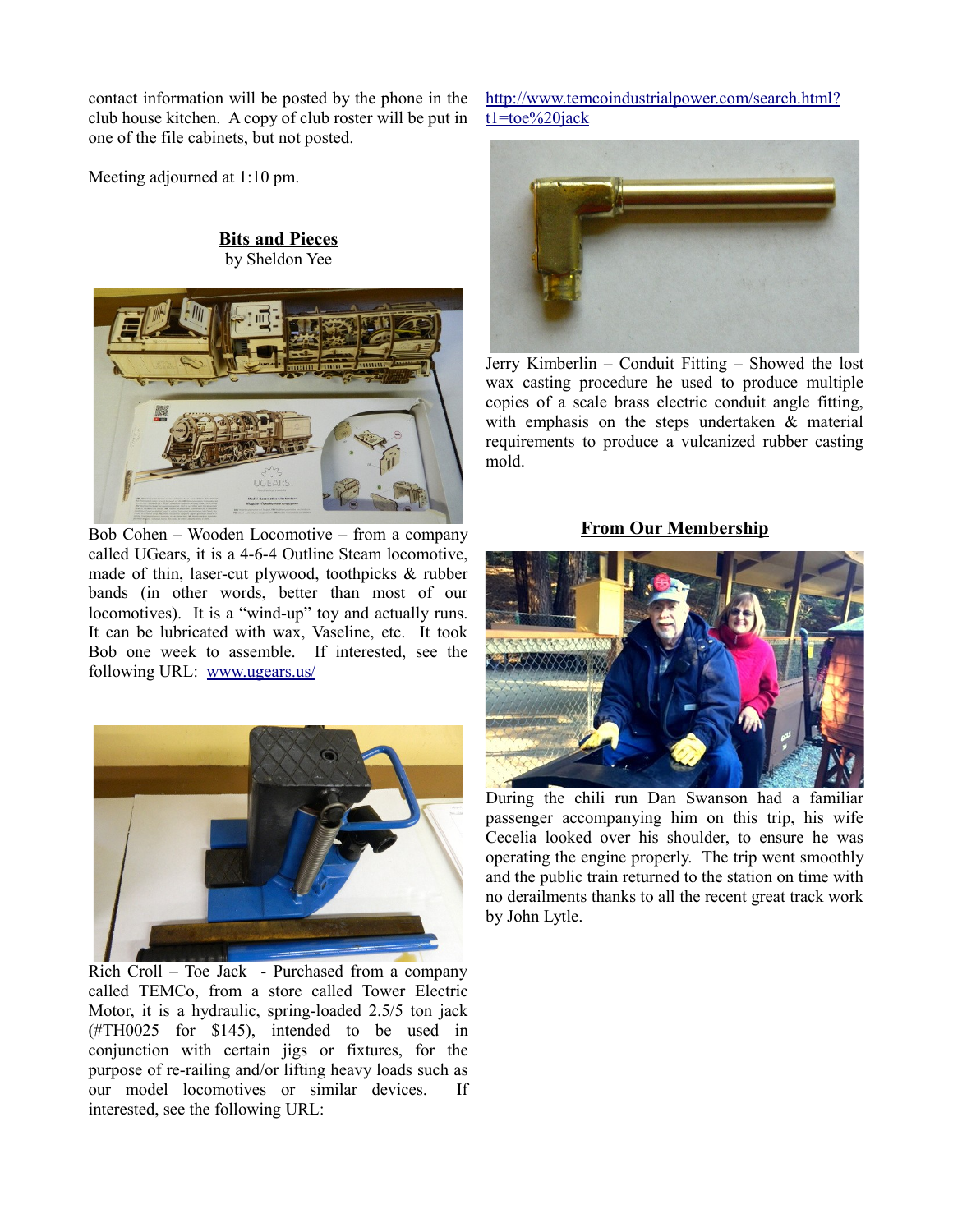contact information will be posted by the phone in the club house kitchen. A copy of club roster will be put in one of the file cabinets, but not posted.

Meeting adjourned at 1:10 pm.

## **Bits and Pieces** by Sheldon Yee



Bob Cohen – Wooden Locomotive – from a company called UGears, it is a 4-6-4 Outline Steam locomotive, made of thin, laser-cut plywood, toothpicks & rubber bands (in other words, better than most of our locomotives). It is a "wind-up" toy and actually runs. It can be lubricated with wax, Vaseline, etc. It took Bob one week to assemble. If interested, see the following URL: [www.ugears.us/](http://www.ugears.us/)



Rich Croll – Toe Jack - Purchased from a company called TEMCo, from a store called Tower Electric Motor, it is a hydraulic, spring-loaded 2.5/5 ton jack (#TH0025 for \$145), intended to be used in conjunction with certain jigs or fixtures, for the purpose of re-railing and/or lifting heavy loads such as our model locomotives or similar devices. If interested, see the following URL:

http://www.temcoindustrialpower.com/search.html? [t1=toe%20jack](http://www.temcoindustrialpower.com/search.html?t1=toe%20jack)



Jerry Kimberlin – Conduit Fitting – Showed the lost wax casting procedure he used to produce multiple copies of a scale brass electric conduit angle fitting, with emphasis on the steps undertaken & material requirements to produce a vulcanized rubber casting mold.

#### **From Our Membership**



During the chili run Dan Swanson had a familiar passenger accompanying him on this trip, his wife Cecelia looked over his shoulder, to ensure he was operating the engine properly. The trip went smoothly and the public train returned to the station on time with no derailments thanks to all the recent great track work by John Lytle.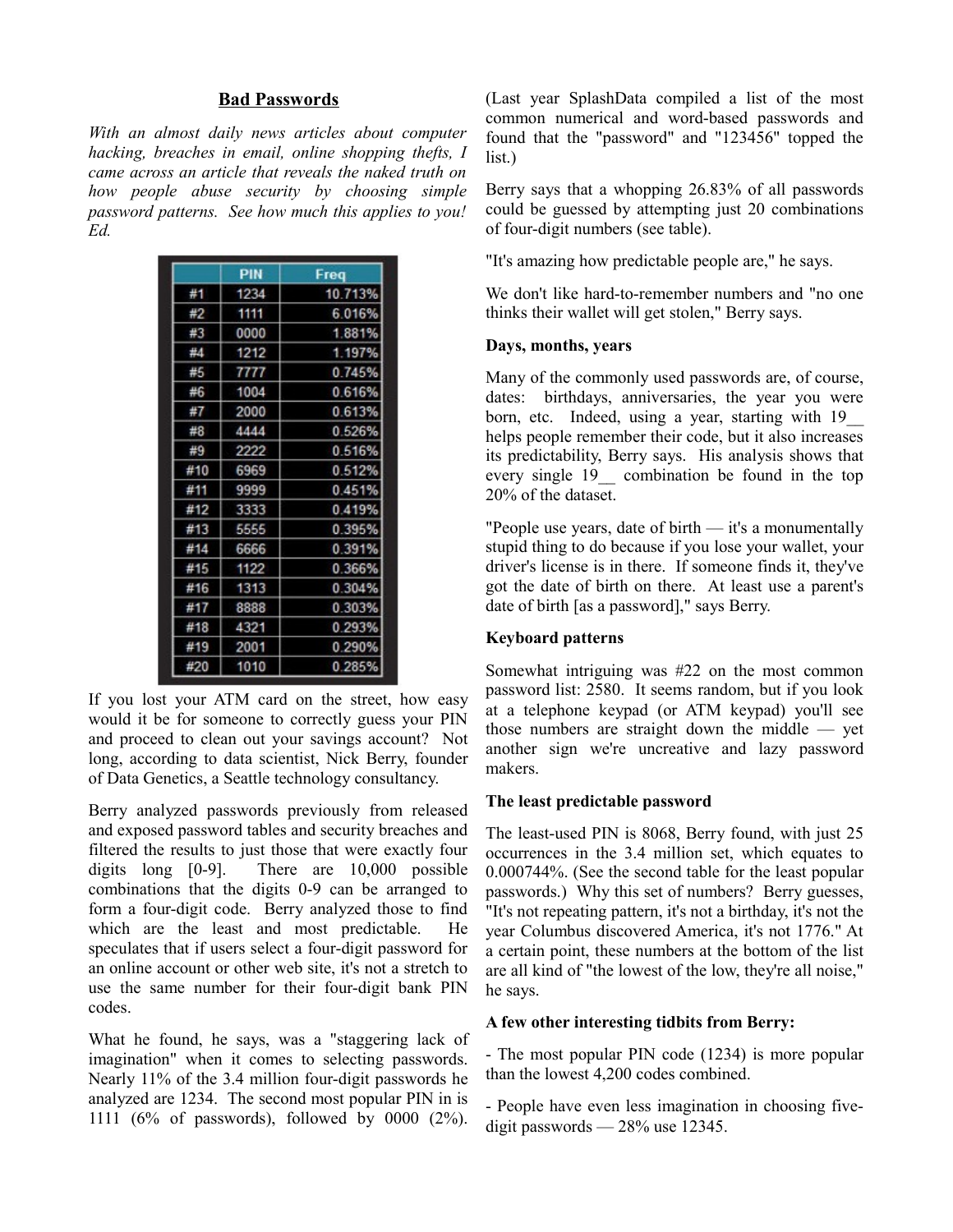#### **Bad Passwords**

*With an almost daily news articles about computer hacking, breaches in email, online shopping thefts, I came across an article that reveals the naked truth on how people abuse security by choosing simple password patterns. See how much this applies to you! Ed.*

|     | PIN  | Freq    |
|-----|------|---------|
| #1  | 1234 | 10.713% |
| #2  | 1111 | 6.016%  |
| #3  | 0000 | 1.881%  |
| #4  | 1212 | 1.197%  |
| #5  | 7777 | 0.745%  |
| #6  | 1004 | 0616%   |
| #7  | 2000 | 0613%   |
| #8  | 4444 | 0.526%  |
| #9  | 2222 | 0.516%  |
| #10 | 6969 | 0.512%  |
| #11 | 9999 | 0.451%  |
| #12 | 3333 | 0.419%  |
| #13 | 5555 | 0.395%  |
| #14 | 6666 | 0.391%  |
| #15 | 1122 | 0.366%  |
| #16 | 1313 | 0.304%  |
| #17 | 8888 | 0.303%  |
| #18 | 4321 | 0.293%  |
| #19 | 2001 | 0.290%  |
| #20 | 1010 | 0.285%  |

If you lost your ATM card on the street, how easy would it be for someone to correctly guess your PIN and proceed to clean out your savings account? Not long, according to data scientist, Nick Berry, founder of Data Genetics, a Seattle technology consultancy.

Berry analyzed passwords previously from released and exposed password tables and security breaches and filtered the results to just those that were exactly four digits long [0-9]. There are 10,000 possible combinations that the digits 0-9 can be arranged to form a four-digit code. Berry analyzed those to find which are the least and most predictable. He speculates that if users select a four-digit password for an online account or other web site, it's not a stretch to use the same number for their four-digit bank PIN codes.

What he found, he says, was a "staggering lack of imagination" when it comes to selecting passwords. Nearly 11% of the 3.4 million four-digit passwords he analyzed are 1234. The second most popular PIN in is 1111 (6% of passwords), followed by 0000 (2%). (Last year SplashData compiled a list of the most common numerical and word-based passwords and found that the "password" and "123456" topped the list.)

Berry says that a whopping 26.83% of all passwords could be guessed by attempting just 20 combinations of four-digit numbers (see table).

"It's amazing how predictable people are," he says.

We don't like hard-to-remember numbers and "no one thinks their wallet will get stolen," Berry says.

#### **Days, months, years**

Many of the commonly used passwords are, of course, dates: birthdays, anniversaries, the year you were born, etc. Indeed, using a year, starting with 19\_\_ helps people remember their code, but it also increases its predictability, Berry says. His analysis shows that every single 19\_\_ combination be found in the top 20% of the dataset.

"People use years, date of birth — it's a monumentally stupid thing to do because if you lose your wallet, your driver's license is in there. If someone finds it, they've got the date of birth on there. At least use a parent's date of birth [as a password]," says Berry.

#### **Keyboard patterns**

Somewhat intriguing was #22 on the most common password list: 2580. It seems random, but if you look at a telephone keypad (or ATM keypad) you'll see those numbers are straight down the middle — yet another sign we're uncreative and lazy password makers.

#### **The least predictable password**

The least-used PIN is 8068, Berry found, with just 25 occurrences in the 3.4 million set, which equates to 0.000744%. (See the second table for the least popular passwords.) Why this set of numbers? Berry guesses, "It's not repeating pattern, it's not a birthday, it's not the year Columbus discovered America, it's not 1776." At a certain point, these numbers at the bottom of the list are all kind of "the lowest of the low, they're all noise," he says.

#### **A few other interesting tidbits from Berry:**

- The most popular PIN code (1234) is more popular than the lowest 4,200 codes combined.

- People have even less imagination in choosing fivedigit passwords — 28% use 12345.